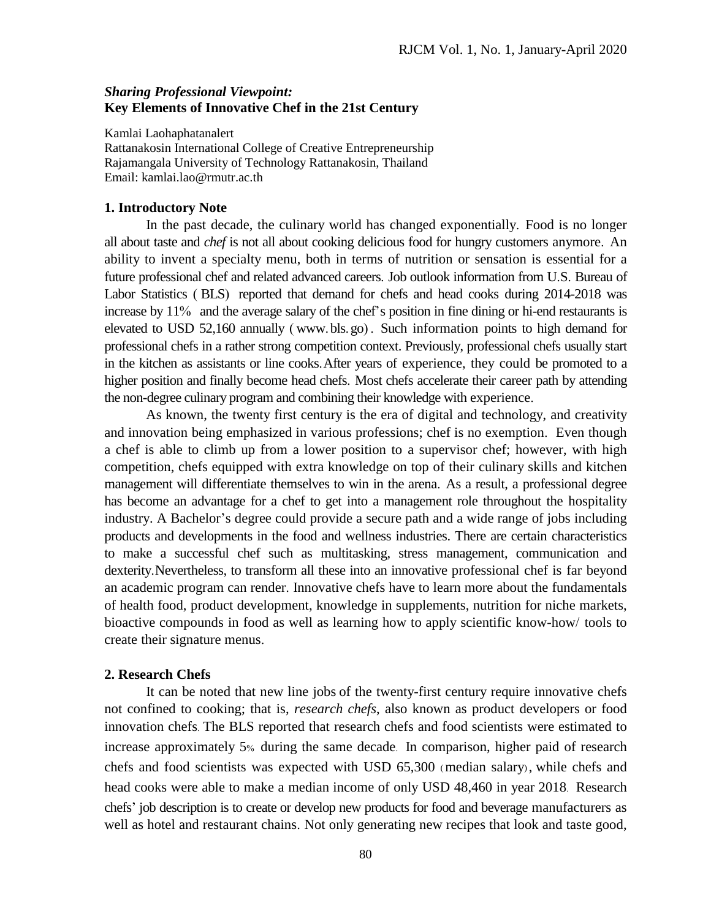## *Sharing Professional Viewpoint:* **Key Elements of Innovative Chef in the 21st Century**

Kamlai Laohaphatanalert Rattanakosin International College of Creative Entrepreneurship Rajamangala University of Technology Rattanakosin, Thailand Email: kamlai.lao@rmutr.ac.th

### **1. Introductory Note**

In the past decade, the culinary world has changed exponentially. Food is no longer all about taste and *chef* is not all about cooking delicious food for hungry customers anymore. An ability to invent a specialty menu, both in terms of nutrition or sensation is essential for a future professional chef and related advanced careers. Job outlook information from U.S. Bureau of Labor Statistics ( BLS) reported that demand for chefs and head cooks during 2014-2018 was increase by 11% and the average salary of the chef's position in fine dining or hi-end restaurants is elevated to USD 52,160 annually ( [www](http://www.bls.go/).bls.go) . Such information points to high demand for professional chefs in a rather strong competition context. Previously, professional chefs usually start in the kitchen as assistants or line cooks.After years of experience, they could be promoted to a higher position and finally become head chefs. Most chefs accelerate their career path by attending the non-degree culinary program and combining their knowledge with experience.

As known, the twenty first century is the era of digital and technology, and creativity and innovation being emphasized in various professions; chef is no exemption. Even though a chef is able to climb up from a lower position to a supervisor chef; however, with high competition, chefs equipped with extra knowledge on top of their culinary skills and kitchen management will differentiate themselves to win in the arena. As a result, a professional degree has become an advantage for a chef to get into a management role throughout the hospitality industry. A Bachelor's degree could provide a secure path and a wide range of jobs including products and developments in the food and wellness industries. There are certain characteristics to make a successful chef such as multitasking, stress management, communication and dexterity.Nevertheless, to transform all these into an innovative professional chef is far beyond an academic program can render. Innovative chefs have to learn more about the fundamentals of health food, product development, knowledge in supplements, nutrition for niche markets, bioactive compounds in food as well as learning how to apply scientific know-how/ tools to create their signature menus.

#### **2. Research Chefs**

It can be noted that new line jobs of the twenty-first century require innovative chefs not confined to cooking; that is, *research chefs*, also known as product developers or food innovation chefs. The BLS reported that research chefs and food scientists were estimated to increase approximately 5% during the same decade. In comparison, higher paid of research chefs and food scientists was expected with USD 65,300 (median salary), while chefs and head cooks were able to make a median income of only USD 48,460 in year 2018. Research chefs' job description is to create or develop new products for food and beverage manufacturers as well as hotel and restaurant chains. Not only generating new recipes that look and taste good,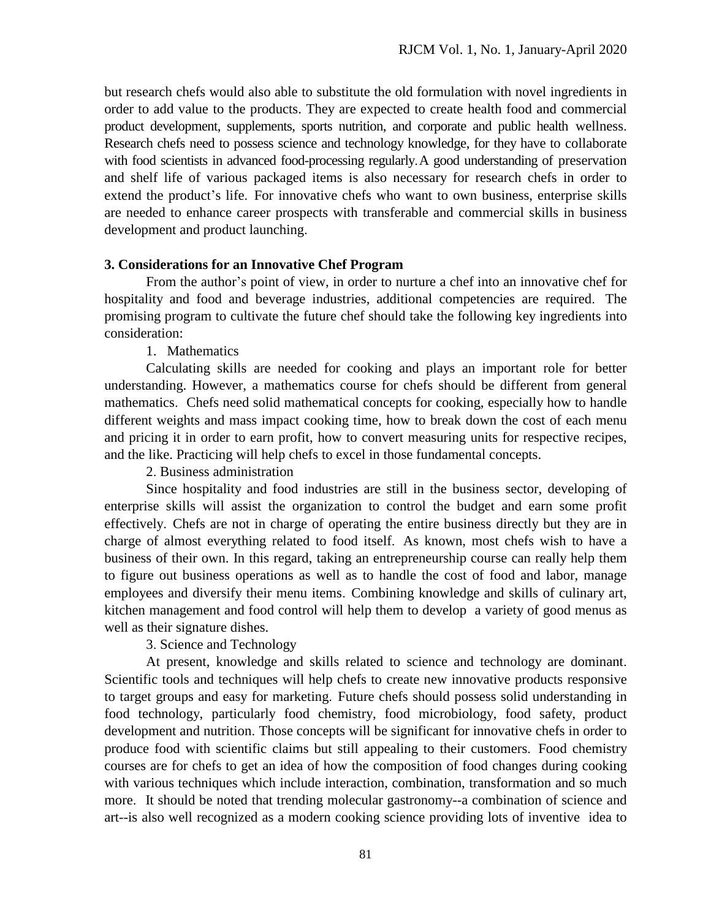but research chefs would also able to substitute the old formulation with novel ingredients in order to add value to the products. They are expected to create health food and commercial product development, supplements, sports nutrition, and corporate and public health wellness. Research chefs need to possess science and technology knowledge, for they have to collaborate with food scientists in advanced food-processing regularly.A good understanding of preservation and shelf life of various packaged items is also necessary for research chefs in order to extend the product's life. For innovative chefs who want to own business, enterprise skills are needed to enhance career prospects with transferable and commercial skills in business development and product launching.

# **3. Considerations for an Innovative Chef Program**

From the author's point of view, in order to nurture a chef into an innovative chef for hospitality and food and beverage industries, additional competencies are required. The promising program to cultivate the future chef should take the following key ingredients into consideration:

1. Mathematics

Calculating skills are needed for cooking and plays an important role for better understanding. However, a mathematics course for chefs should be different from general mathematics. Chefs need solid mathematical concepts for cooking, especially how to handle different weights and mass impact cooking time, how to break down the cost of each menu and pricing it in order to earn profit, how to convert measuring units for respective recipes, and the like. Practicing will help chefs to excel in those fundamental concepts.

2. Business administration

Since hospitality and food industries are still in the business sector, developing of enterprise skills will assist the organization to control the budget and earn some profit effectively. Chefs are not in charge of operating the entire business directly but they are in charge of almost everything related to food itself. As known, most chefs wish to have a business of their own. In this regard, taking an entrepreneurship course can really help them to figure out business operations as well as to handle the cost of food and labor, manage employees and diversify their menu items. Combining knowledge and skills of culinary art, kitchen management and food control will help them to develop a variety of good menus as well as their signature dishes.

3. Science and Technology

At present, knowledge and skills related to science and technology are dominant. Scientific tools and techniques will help chefs to create new innovative products responsive to target groups and easy for marketing. Future chefs should possess solid understanding in food technology, particularly food chemistry, food microbiology, food safety, product development and nutrition. Those concepts will be significant for innovative chefs in order to produce food with scientific claims but still appealing to their customers. Food chemistry courses are for chefs to get an idea of how the composition of food changes during cooking with various techniques which include interaction, combination, transformation and so much more. It should be noted that trending molecular gastronomy--a combination of science and art--is also well recognized as a modern cooking science providing lots of inventive idea to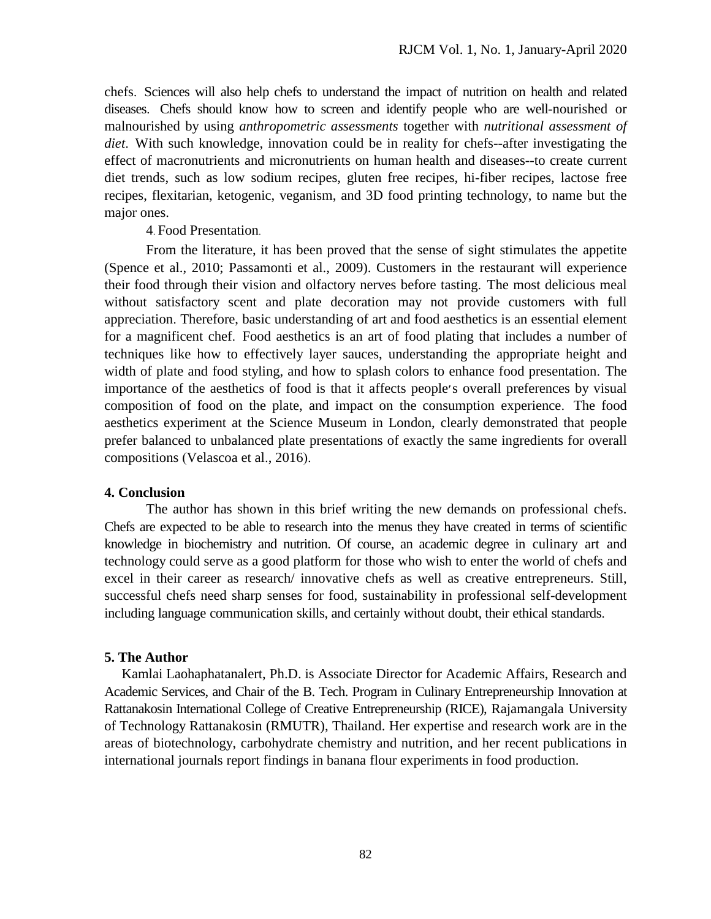chefs. Sciences will also help chefs to understand the impact of nutrition on health and related diseases. Chefs should know how to screen and identify people who are well-nourished or malnourished by using *anthropometric assessments* together with *nutritional assessment of diet*. With such knowledge, innovation could be in reality for chefs--after investigating the effect of macronutrients and micronutrients on human health and diseases--to create current diet trends, such as low sodium recipes, gluten free recipes, hi-fiber recipes, lactose free recipes, flexitarian, ketogenic, veganism, and 3D food printing technology, to name but the major ones.

4. Food Presentation.

From the literature, it has been proved that the sense of sight stimulates the appetite (Spence et al., 2010; Passamonti et al., 2009). Customers in the restaurant will experience their food through their vision and olfactory nerves before tasting. The most delicious meal without satisfactory scent and plate decoration may not provide customers with full appreciation. Therefore, basic understanding of art and food aesthetics is an essential element for a magnificent chef. Food aesthetics is an art of food plating that includes a number of techniques like how to effectively layer sauces, understanding the appropriate height and width of plate and food styling, and how to splash colors to enhance food presentation. The importance of the aesthetics of food is that it affects people׳s overall preferences by visual composition of food on the plate, and impact on the consumption experience. The food aesthetics experiment at the Science Museum in London, clearly demonstrated that people prefer balanced to unbalanced plate presentations of exactly the same ingredients for overall compositions (Velascoa et al., 2016).

## **4. Conclusion**

The author has shown in this brief writing the new demands on professional chefs. Chefs are expected to be able to research into the menus they have created in terms of scientific knowledge in biochemistry and nutrition. Of course, an academic degree in culinary art and technology could serve as a good platform for those who wish to enter the world of chefs and excel in their career as research/ innovative chefs as well as creative entrepreneurs. Still, successful chefs need sharp senses for food, sustainability in professional self-development including language communication skills, and certainly without doubt, their ethical standards.

# **5. The Author**

 Kamlai Laohaphatanalert, Ph.D. is Associate Director for Academic Affairs, Research and Academic Services, and Chair of the B. Tech. Program in Culinary Entrepreneurship Innovation at Rattanakosin International College of Creative Entrepreneurship (RICE), Rajamangala University of Technology Rattanakosin (RMUTR), Thailand. Her expertise and research work are in the areas of biotechnology, carbohydrate chemistry and nutrition, and her recent publications in international journals report findings in banana flour experiments in food production.